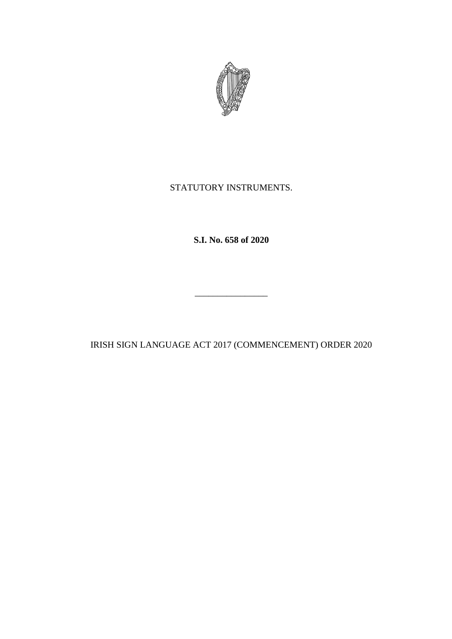

## STATUTORY INSTRUMENTS.

**S.I. No. 658 of 2020**

IRISH SIGN LANGUAGE ACT 2017 (COMMENCEMENT) ORDER 2020

\_\_\_\_\_\_\_\_\_\_\_\_\_\_\_\_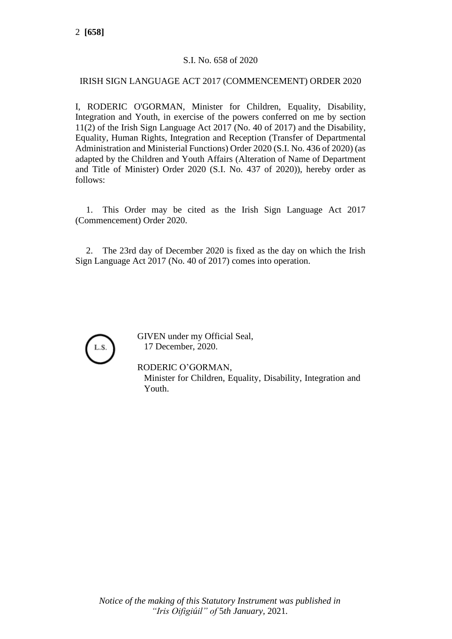## S.I. No. 658 of 2020

## IRISH SIGN LANGUAGE ACT 2017 (COMMENCEMENT) ORDER 2020

I, RODERIC O'GORMAN, Minister for Children, Equality, Disability, Integration and Youth, in exercise of the powers conferred on me by section 11(2) of the Irish Sign Language Act 2017 (No. 40 of 2017) and the Disability, Equality, Human Rights, Integration and Reception (Transfer of Departmental Administration and Ministerial Functions) Order 2020 (S.I. No. 436 of 2020) (as adapted by the Children and Youth Affairs (Alteration of Name of Department and Title of Minister) Order 2020 (S.I. No. 437 of 2020)), hereby order as follows:

1. This Order may be cited as the Irish Sign Language Act 2017 (Commencement) Order 2020.

2. The 23rd day of December 2020 is fixed as the day on which the Irish Sign Language Act 2017 (No. 40 of 2017) comes into operation.



GIVEN under my Official Seal, 17 December, 2020.

RODERIC O'GORMAN,

Minister for Children, Equality, Disability, Integration and Youth.